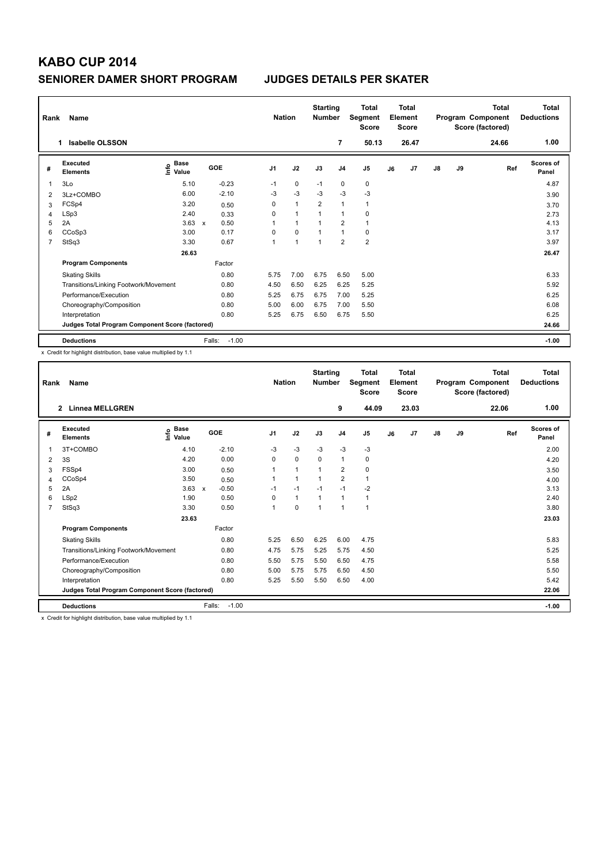| Rank | Name                                            |                              | <b>Starting</b><br><b>Nation</b><br><b>Number</b> |                |                | Total<br><b>Total</b><br>Segment<br><b>Element</b><br><b>Score</b><br><b>Score</b> |                |                |    | Program Component<br>Score (factored) | <b>Total</b><br><b>Deductions</b> |    |       |                           |
|------|-------------------------------------------------|------------------------------|---------------------------------------------------|----------------|----------------|------------------------------------------------------------------------------------|----------------|----------------|----|---------------------------------------|-----------------------------------|----|-------|---------------------------|
|      | <b>Isabelle OLSSON</b><br>1.                    |                              |                                                   |                |                |                                                                                    | 7              | 50.13          |    | 26.47                                 |                                   |    | 24.66 | 1.00                      |
| #    | Executed<br><b>Elements</b>                     | <b>Base</b><br>١nfo<br>Value | GOE                                               | J <sub>1</sub> | J2             | J3                                                                                 | J <sub>4</sub> | J <sub>5</sub> | J6 | J7                                    | $\mathsf{J}8$                     | J9 | Ref   | <b>Scores of</b><br>Panel |
| 1    | 3Lo                                             | 5.10                         | $-0.23$                                           | $-1$           | 0              | $-1$                                                                               | $\mathbf 0$    | 0              |    |                                       |                                   |    |       | 4.87                      |
| 2    | 3Lz+COMBO                                       | 6.00                         | $-2.10$                                           | -3             | $-3$           | $-3$                                                                               | $-3$           | $-3$           |    |                                       |                                   |    |       | 3.90                      |
| 3    | FCSp4                                           | 3.20                         | 0.50                                              | 0              | $\mathbf{1}$   | $\overline{2}$                                                                     | $\overline{1}$ | $\mathbf{1}$   |    |                                       |                                   |    |       | 3.70                      |
| 4    | LSp3                                            | 2.40                         | 0.33                                              | 0              | $\overline{1}$ | 1                                                                                  | $\overline{1}$ | $\pmb{0}$      |    |                                       |                                   |    |       | 2.73                      |
| 5    | 2A                                              | 3.63                         | 0.50<br>$\boldsymbol{\mathsf{x}}$                 | 1              | $\mathbf{1}$   | $\overline{1}$                                                                     | $\overline{2}$ | $\overline{1}$ |    |                                       |                                   |    |       | 4.13                      |
| 6    | CCoSp3                                          | 3.00                         | 0.17                                              | 0              | $\mathbf 0$    | 1                                                                                  | $\mathbf{1}$   | 0              |    |                                       |                                   |    |       | 3.17                      |
| 7    | StSq3                                           | 3.30                         | 0.67                                              | 1              | $\mathbf{1}$   | $\overline{1}$                                                                     | $\overline{2}$ | $\overline{2}$ |    |                                       |                                   |    |       | 3.97                      |
|      |                                                 | 26.63                        |                                                   |                |                |                                                                                    |                |                |    |                                       |                                   |    |       | 26.47                     |
|      | <b>Program Components</b>                       |                              | Factor                                            |                |                |                                                                                    |                |                |    |                                       |                                   |    |       |                           |
|      | <b>Skating Skills</b>                           |                              | 0.80                                              | 5.75           | 7.00           | 6.75                                                                               | 6.50           | 5.00           |    |                                       |                                   |    |       | 6.33                      |
|      | Transitions/Linking Footwork/Movement           |                              | 0.80                                              | 4.50           | 6.50           | 6.25                                                                               | 6.25           | 5.25           |    |                                       |                                   |    |       | 5.92                      |
|      | Performance/Execution                           |                              | 0.80                                              | 5.25           | 6.75           | 6.75                                                                               | 7.00           | 5.25           |    |                                       |                                   |    |       | 6.25                      |
|      | Choreography/Composition                        |                              | 0.80                                              | 5.00           | 6.00           | 6.75                                                                               | 7.00           | 5.50           |    |                                       |                                   |    |       | 6.08                      |
|      | Interpretation                                  |                              | 0.80                                              | 5.25           | 6.75           | 6.50                                                                               | 6.75           | 5.50           |    |                                       |                                   |    |       | 6.25                      |
|      | Judges Total Program Component Score (factored) |                              |                                                   |                |                |                                                                                    |                |                |    |                                       |                                   |    |       | 24.66                     |
|      | <b>Deductions</b>                               |                              | Falls:<br>$-1.00$                                 |                |                |                                                                                    |                |                |    |                                       |                                   |    |       | $-1.00$                   |

x Credit for highlight distribution, base value multiplied by 1.1

| Rank           | Name                                                                                      |                                           | <b>Starting</b><br><b>Nation</b><br><b>Number</b> |                | <b>Total</b><br>Total<br>Element<br>Segment<br>Score<br><b>Score</b> |                |                |              |    | Total<br>Program Component<br>Score (factored) | <b>Total</b><br><b>Deductions</b> |    |       |                           |
|----------------|-------------------------------------------------------------------------------------------|-------------------------------------------|---------------------------------------------------|----------------|----------------------------------------------------------------------|----------------|----------------|--------------|----|------------------------------------------------|-----------------------------------|----|-------|---------------------------|
|                | <b>Linnea MELLGREN</b><br>$\overline{\mathbf{2}}$                                         |                                           |                                                   |                |                                                                      |                | 9              | 44.09        |    | 23.03                                          |                                   |    | 22.06 | 1.00                      |
| #              | Executed<br><b>Elements</b>                                                               | $\frac{e}{E}$ Base<br>$\frac{E}{E}$ Value | GOE                                               | J <sub>1</sub> | J2                                                                   | J3             | J <sub>4</sub> | J5           | J6 | J <sub>7</sub>                                 | $\mathsf{J}8$                     | J9 | Ref   | <b>Scores of</b><br>Panel |
| 1              | 3T+COMBO                                                                                  | 4.10                                      | $-2.10$                                           | $-3$           | $-3$                                                                 | $-3$           | $-3$           | $-3$         |    |                                                |                                   |    |       | 2.00                      |
| 2              | 3S                                                                                        | 4.20                                      | 0.00                                              | 0              | $\mathbf 0$                                                          | 0              | $\mathbf{1}$   | 0            |    |                                                |                                   |    |       | 4.20                      |
| 3              | FSSp4                                                                                     | 3.00                                      | 0.50                                              |                | $\mathbf{1}$                                                         |                | $\overline{2}$ | 0            |    |                                                |                                   |    |       | 3.50                      |
| 4              | CCoSp4                                                                                    | 3.50                                      | 0.50                                              |                | $\mathbf{1}$                                                         |                | $\overline{2}$ | 1            |    |                                                |                                   |    |       | 4.00                      |
| 5              | 2A                                                                                        | 3.63                                      | $-0.50$<br>$\mathsf{x}$                           | $-1$           | $-1$                                                                 | $-1$           | $-1$           | $-2$         |    |                                                |                                   |    |       | 3.13                      |
| 6              | LSp2                                                                                      | 1.90                                      | 0.50                                              | 0              | $\mathbf{1}$                                                         | $\overline{1}$ | 1              | 1            |    |                                                |                                   |    |       | 2.40                      |
| $\overline{7}$ | StSq3                                                                                     | 3.30                                      | 0.50                                              | 1              | $\Omega$                                                             | 1              | $\mathbf{1}$   | $\mathbf{1}$ |    |                                                |                                   |    |       | 3.80                      |
|                |                                                                                           | 23.63                                     |                                                   |                |                                                                      |                |                |              |    |                                                |                                   |    |       | 23.03                     |
|                | <b>Program Components</b>                                                                 |                                           | Factor                                            |                |                                                                      |                |                |              |    |                                                |                                   |    |       |                           |
|                | <b>Skating Skills</b>                                                                     |                                           | 0.80                                              | 5.25           | 6.50                                                                 | 6.25           | 6.00           | 4.75         |    |                                                |                                   |    |       | 5.83                      |
|                | Transitions/Linking Footwork/Movement                                                     |                                           | 0.80                                              | 4.75           | 5.75                                                                 | 5.25           | 5.75           | 4.50         |    |                                                |                                   |    |       | 5.25                      |
|                | Performance/Execution                                                                     |                                           | 0.80                                              | 5.50           | 5.75                                                                 | 5.50           | 6.50           | 4.75         |    |                                                |                                   |    |       | 5.58                      |
|                | Choreography/Composition                                                                  |                                           | 0.80                                              | 5.00           | 5.75                                                                 | 5.75           | 6.50           | 4.50         |    |                                                |                                   |    |       | 5.50                      |
|                | Interpretation                                                                            |                                           | 0.80                                              | 5.25           | 5.50                                                                 | 5.50           | 6.50           | 4.00         |    |                                                |                                   |    |       | 5.42                      |
|                | Judges Total Program Component Score (factored)                                           |                                           |                                                   |                |                                                                      |                |                |              |    |                                                |                                   |    |       | 22.06                     |
|                | <b>Deductions</b>                                                                         |                                           | Falls:<br>$-1.00$                                 |                |                                                                      |                |                |              |    |                                                |                                   |    |       | $-1.00$                   |
|                | Consideration interest and interests are as the company of the constitutional interest of |                                           |                                                   |                |                                                                      |                |                |              |    |                                                |                                   |    |       |                           |

redit for highlight distribution, base value multiplied by 1.1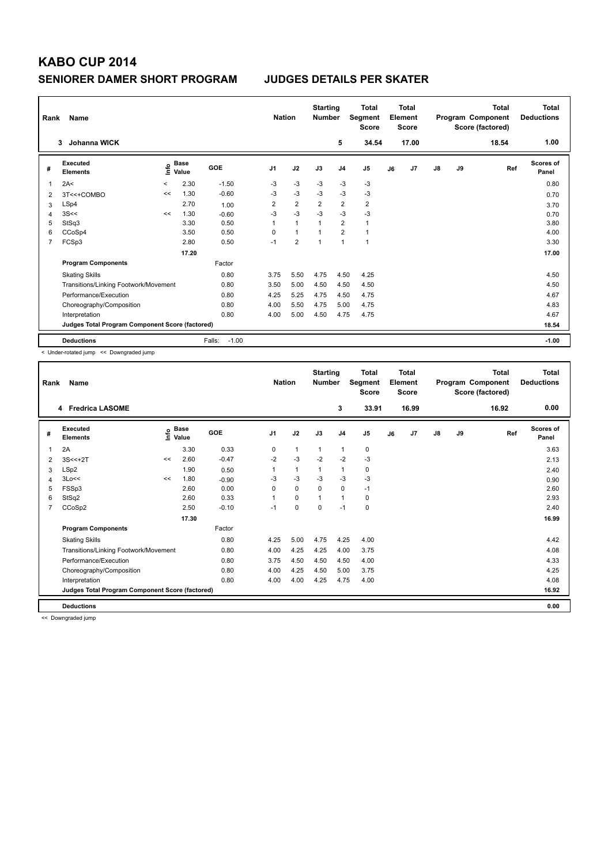| Rank           | Name                                            |         | <b>Starting</b><br><b>Nation</b><br><b>Number</b> |                   |                | <b>Total</b><br>Segment<br><b>Score</b> | <b>Total</b><br>Element<br><b>Score</b><br>17.00 |                |                |    | Total<br>Program Component<br>Score (factored) | Total<br><b>Deductions</b> |    |       |                           |
|----------------|-------------------------------------------------|---------|---------------------------------------------------|-------------------|----------------|-----------------------------------------|--------------------------------------------------|----------------|----------------|----|------------------------------------------------|----------------------------|----|-------|---------------------------|
|                | Johanna WICK<br>3                               |         |                                                   |                   |                |                                         |                                                  | 5              | 34.54          |    |                                                |                            |    | 18.54 | 1.00                      |
| #              | Executed<br><b>Elements</b>                     | ١nfo    | <b>Base</b><br>Value                              | GOE               | J <sub>1</sub> | J2                                      | J3                                               | J <sub>4</sub> | J <sub>5</sub> | J6 | J7                                             | $\mathsf{J}8$              | J9 | Ref   | <b>Scores of</b><br>Panel |
| $\overline{1}$ | 2A<                                             | $\prec$ | 2.30                                              | $-1.50$           | -3             | $-3$                                    | $-3$                                             | $-3$           | $-3$           |    |                                                |                            |    |       | 0.80                      |
| 2              | 3T<<+COMBO                                      | <<      | 1.30                                              | $-0.60$           | $-3$           | $-3$                                    | $-3$                                             | $-3$           | $-3$           |    |                                                |                            |    |       | 0.70                      |
| 3              | LSp4                                            |         | 2.70                                              | 1.00              | $\overline{2}$ | $\overline{2}$                          | 2                                                | 2              | $\overline{2}$ |    |                                                |                            |    |       | 3.70                      |
| 4              | 3S<<                                            | <<      | 1.30                                              | $-0.60$           | $-3$           | $-3$                                    | $-3$                                             | $-3$           | $-3$           |    |                                                |                            |    |       | 0.70                      |
| 5              | StSq3                                           |         | 3.30                                              | 0.50              | 1              | $\mathbf{1}$                            |                                                  | 2              | $\mathbf{1}$   |    |                                                |                            |    |       | 3.80                      |
| 6              | CCoSp4                                          |         | 3.50                                              | 0.50              | $\Omega$       | $\mathbf{1}$                            |                                                  | 2              | $\mathbf{1}$   |    |                                                |                            |    |       | 4.00                      |
| 7              | FCSp3                                           |         | 2.80                                              | 0.50              | $-1$           | $\overline{2}$                          | 1                                                | $\mathbf{1}$   | $\mathbf{1}$   |    |                                                |                            |    |       | 3.30                      |
|                |                                                 |         | 17.20                                             |                   |                |                                         |                                                  |                |                |    |                                                |                            |    |       | 17.00                     |
|                | <b>Program Components</b>                       |         |                                                   | Factor            |                |                                         |                                                  |                |                |    |                                                |                            |    |       |                           |
|                | <b>Skating Skills</b>                           |         |                                                   | 0.80              | 3.75           | 5.50                                    | 4.75                                             | 4.50           | 4.25           |    |                                                |                            |    |       | 4.50                      |
|                | Transitions/Linking Footwork/Movement           |         |                                                   | 0.80              | 3.50           | 5.00                                    | 4.50                                             | 4.50           | 4.50           |    |                                                |                            |    |       | 4.50                      |
|                | Performance/Execution                           |         |                                                   | 0.80              | 4.25           | 5.25                                    | 4.75                                             | 4.50           | 4.75           |    |                                                |                            |    |       | 4.67                      |
|                | Choreography/Composition                        |         |                                                   | 0.80              | 4.00           | 5.50                                    | 4.75                                             | 5.00           | 4.75           |    |                                                |                            |    |       | 4.83                      |
|                | Interpretation                                  |         |                                                   | 0.80              | 4.00           | 5.00                                    | 4.50                                             | 4.75           | 4.75           |    |                                                |                            |    |       | 4.67                      |
|                | Judges Total Program Component Score (factored) |         |                                                   |                   |                |                                         |                                                  |                |                |    |                                                |                            |    |       | 18.54                     |
|                | <b>Deductions</b>                               |         |                                                   | $-1.00$<br>Falls: |                |                                         |                                                  |                |                |    |                                                |                            |    |       | $-1.00$                   |

< Under-rotated jump << Downgraded jump

| Rank           | Name                                            |      | <b>Starting</b><br><b>Nation</b><br><b>Number</b> |            |                | Total<br>Segment<br><b>Score</b> |          | <b>Total</b><br>Element<br><b>Score</b> |                |    | <b>Total</b><br>Program Component<br>Score (factored) | <b>Total</b><br><b>Deductions</b> |    |       |                           |
|----------------|-------------------------------------------------|------|---------------------------------------------------|------------|----------------|----------------------------------|----------|-----------------------------------------|----------------|----|-------------------------------------------------------|-----------------------------------|----|-------|---------------------------|
|                | <b>Fredrica LASOME</b><br>4                     |      |                                                   |            |                |                                  |          | 3                                       | 33.91          |    | 16.99                                                 |                                   |    | 16.92 | 0.00                      |
| #              | Executed<br><b>Elements</b>                     | lnfo | <b>Base</b><br>Value                              | <b>GOE</b> | J <sub>1</sub> | J2                               | J3       | J <sub>4</sub>                          | J <sub>5</sub> | J6 | J7                                                    | J8                                | J9 | Ref   | <b>Scores of</b><br>Panel |
| 1              | 2A                                              |      | 3.30                                              | 0.33       | 0              | $\mathbf{1}$                     | 1        | 1                                       | 0              |    |                                                       |                                   |    |       | 3.63                      |
| 2              | $3S < +2T$                                      | <<   | 2.60                                              | $-0.47$    | $-2$           | $-3$                             | $-2$     | $-2$                                    | $-3$           |    |                                                       |                                   |    |       | 2.13                      |
| 3              | LSp2                                            |      | 1.90                                              | 0.50       | 1              | $\mathbf{1}$                     | 1        | 1                                       | 0              |    |                                                       |                                   |    |       | 2.40                      |
| 4              | 3Lo<<                                           | <<   | 1.80                                              | $-0.90$    | -3             | $-3$                             | $-3$     | $-3$                                    | $-3$           |    |                                                       |                                   |    |       | 0.90                      |
| 5              | FSSp3                                           |      | 2.60                                              | 0.00       | $\Omega$       | 0                                | $\Omega$ | $\mathbf 0$                             | $-1$           |    |                                                       |                                   |    |       | 2.60                      |
| 6              | StSq2                                           |      | 2.60                                              | 0.33       | 1              | 0                                | 1        | 1                                       | 0              |    |                                                       |                                   |    |       | 2.93                      |
| $\overline{7}$ | CCoSp2                                          |      | 2.50                                              | $-0.10$    | $-1$           | 0                                | $\Omega$ | $-1$                                    | 0              |    |                                                       |                                   |    |       | 2.40                      |
|                |                                                 |      | 17.30                                             |            |                |                                  |          |                                         |                |    |                                                       |                                   |    |       | 16.99                     |
|                | <b>Program Components</b>                       |      |                                                   | Factor     |                |                                  |          |                                         |                |    |                                                       |                                   |    |       |                           |
|                | <b>Skating Skills</b>                           |      |                                                   | 0.80       | 4.25           | 5.00                             | 4.75     | 4.25                                    | 4.00           |    |                                                       |                                   |    |       | 4.42                      |
|                | Transitions/Linking Footwork/Movement           |      |                                                   | 0.80       | 4.00           | 4.25                             | 4.25     | 4.00                                    | 3.75           |    |                                                       |                                   |    |       | 4.08                      |
|                | Performance/Execution                           |      |                                                   | 0.80       | 3.75           | 4.50                             | 4.50     | 4.50                                    | 4.00           |    |                                                       |                                   |    |       | 4.33                      |
|                | Choreography/Composition                        |      |                                                   | 0.80       | 4.00           | 4.25                             | 4.50     | 5.00                                    | 3.75           |    |                                                       |                                   |    |       | 4.25                      |
|                | Interpretation                                  |      |                                                   | 0.80       | 4.00           | 4.00                             | 4.25     | 4.75                                    | 4.00           |    |                                                       |                                   |    |       | 4.08                      |
|                | Judges Total Program Component Score (factored) |      |                                                   |            |                |                                  |          |                                         |                |    |                                                       |                                   |    |       | 16.92                     |
|                | <b>Deductions</b>                               |      |                                                   |            |                |                                  |          |                                         |                |    |                                                       |                                   |    |       | 0.00                      |

<< Downgraded jump

I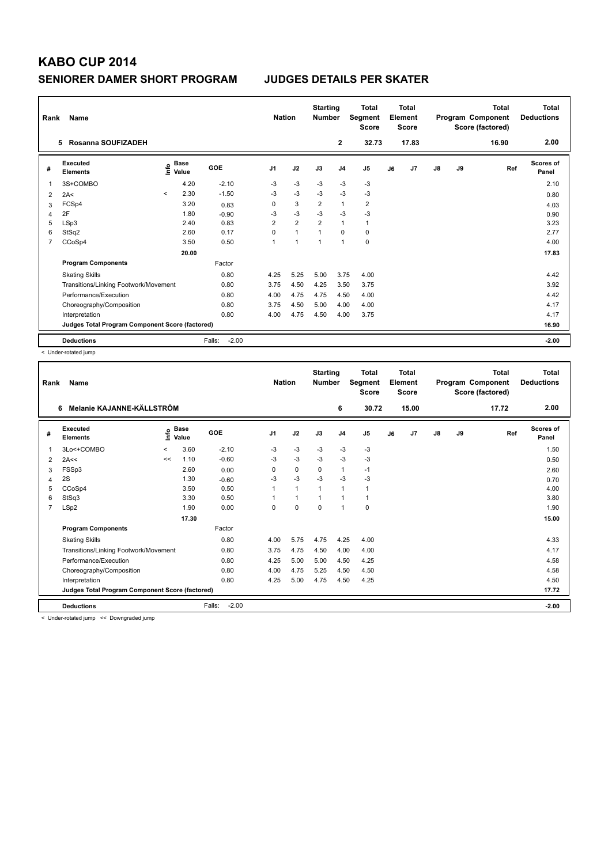| Rank           | <b>Name</b>                                     |         | <b>Nation</b>        |                   |                | <b>Starting</b><br><b>Total</b><br>Segment<br><b>Number</b><br><b>Score</b> |                | <b>Total</b><br>Element<br><b>Score</b> |                         |    |                | Total<br>Program Component<br>Score (factored) | Total<br><b>Deductions</b> |       |                           |
|----------------|-------------------------------------------------|---------|----------------------|-------------------|----------------|-----------------------------------------------------------------------------|----------------|-----------------------------------------|-------------------------|----|----------------|------------------------------------------------|----------------------------|-------|---------------------------|
|                | Rosanna SOUFIZADEH<br>5                         |         |                      |                   |                |                                                                             |                | $\mathbf{2}$                            | 32.73                   |    | 17.83          |                                                |                            | 16.90 | 2.00                      |
| #              | Executed<br><b>Elements</b>                     | lnfo    | <b>Base</b><br>Value | GOE               | J <sub>1</sub> | J2                                                                          | J3             | J <sub>4</sub>                          | J <sub>5</sub>          | J6 | J <sub>7</sub> | $\mathsf{J}8$                                  | J9                         | Ref   | <b>Scores of</b><br>Panel |
| $\mathbf{1}$   | 3S+COMBO                                        |         | 4.20                 | $-2.10$           | $-3$           | $-3$                                                                        | $-3$           | $-3$                                    | $-3$                    |    |                |                                                |                            |       | 2.10                      |
| 2              | 2A<                                             | $\prec$ | 2.30                 | $-1.50$           | $-3$           | $-3$                                                                        | $-3$           | $-3$                                    | $-3$                    |    |                |                                                |                            |       | 0.80                      |
| 3              | FCSp4                                           |         | 3.20                 | 0.83              | 0              | 3                                                                           | $\overline{2}$ | $\mathbf{1}$                            | $\overline{\mathbf{c}}$ |    |                |                                                |                            |       | 4.03                      |
| $\overline{4}$ | 2F                                              |         | 1.80                 | $-0.90$           | $-3$           | $-3$                                                                        | $-3$           | $-3$                                    | $-3$                    |    |                |                                                |                            |       | 0.90                      |
| 5              | LSp3                                            |         | 2.40                 | 0.83              | $\overline{2}$ | $\overline{2}$                                                              | $\overline{2}$ | $\mathbf{1}$                            | $\mathbf{1}$            |    |                |                                                |                            |       | 3.23                      |
| 6              | StSq2                                           |         | 2.60                 | 0.17              | $\Omega$       | $\mathbf{1}$                                                                |                | $\Omega$                                | 0                       |    |                |                                                |                            |       | 2.77                      |
| $\overline{7}$ | CCoSp4                                          |         | 3.50                 | 0.50              | 1              | $\overline{1}$                                                              | $\overline{1}$ | $\mathbf{1}$                            | $\pmb{0}$               |    |                |                                                |                            |       | 4.00                      |
|                |                                                 |         | 20.00                |                   |                |                                                                             |                |                                         |                         |    |                |                                                |                            |       | 17.83                     |
|                | <b>Program Components</b>                       |         |                      | Factor            |                |                                                                             |                |                                         |                         |    |                |                                                |                            |       |                           |
|                | <b>Skating Skills</b>                           |         |                      | 0.80              | 4.25           | 5.25                                                                        | 5.00           | 3.75                                    | 4.00                    |    |                |                                                |                            |       | 4.42                      |
|                | Transitions/Linking Footwork/Movement           |         |                      | 0.80              | 3.75           | 4.50                                                                        | 4.25           | 3.50                                    | 3.75                    |    |                |                                                |                            |       | 3.92                      |
|                | Performance/Execution                           |         |                      | 0.80              | 4.00           | 4.75                                                                        | 4.75           | 4.50                                    | 4.00                    |    |                |                                                |                            |       | 4.42                      |
|                | Choreography/Composition                        |         |                      | 0.80              | 3.75           | 4.50                                                                        | 5.00           | 4.00                                    | 4.00                    |    |                |                                                |                            |       | 4.17                      |
|                | Interpretation                                  |         |                      | 0.80              | 4.00           | 4.75                                                                        | 4.50           | 4.00                                    | 3.75                    |    |                |                                                |                            |       | 4.17                      |
|                | Judges Total Program Component Score (factored) |         |                      |                   |                |                                                                             |                |                                         |                         |    |                |                                                |                            |       | 16.90                     |
|                | <b>Deductions</b>                               |         |                      | $-2.00$<br>Falls: |                |                                                                             |                |                                         |                         |    |                |                                                |                            |       | $-2.00$                   |

< Under-rotated jump

| Melanie KAJANNE-KÄLLSTRÖM<br>6<br>30.72<br>15.00<br>17.72<br>6                                                                                                                             | 2.00                      |
|--------------------------------------------------------------------------------------------------------------------------------------------------------------------------------------------|---------------------------|
|                                                                                                                                                                                            |                           |
| <b>Base</b><br>Executed<br><u>info</u><br>GOE<br>J2<br>J <sub>1</sub><br>J3<br>J <sub>4</sub><br>J <sub>5</sub><br>J7<br>$\mathsf{J}8$<br>J9<br>J6<br>Ref<br>#<br><b>Elements</b><br>Value | <b>Scores of</b><br>Panel |
| $-3$<br>3Lo<+COMBO<br>$-2.10$<br>$-3$<br>$-3$<br>$-3$<br>3.60<br>$-3$<br>1<br>$\prec$                                                                                                      | 1.50                      |
| $-3$<br>$-3$<br>$-3$<br>$-3$<br>$-0.60$<br>$-3$<br>1.10<br>2A<<<br><<<br>2                                                                                                                 | 0.50                      |
| FSSp3<br>0<br>2.60<br>$\Omega$<br>$\mathbf{1}$<br>$-1$<br>0.00<br>0<br>3                                                                                                                   | 2.60                      |
| $-3$<br>$-3$<br>$-3$<br>$-3$<br>2S<br>$-3$<br>1.30<br>$-0.60$<br>4                                                                                                                         | 0.70                      |
| 0.50<br>CCoSp4<br>$\mathbf{1}$<br>1<br>3.50<br>1<br>$\mathbf 1$<br>1<br>5                                                                                                                  | 4.00                      |
| StSq3<br>3.30<br>0.50<br>1<br>$\mathbf{1}$<br>6<br>1                                                                                                                                       | 3.80                      |
| LSp2<br>1.90<br>0.00<br>$\Omega$<br>$\Omega$<br>$\Omega$<br>$\mathbf{1}$<br>0<br>$\overline{7}$                                                                                            | 1.90                      |
| 17.30                                                                                                                                                                                      | 15.00                     |
| Factor<br><b>Program Components</b>                                                                                                                                                        |                           |
| 0.80<br>5.75<br>4.25<br>4.00<br>4.00<br>4.75<br><b>Skating Skills</b>                                                                                                                      | 4.33                      |
| 4.75<br>Transitions/Linking Footwork/Movement<br>0.80<br>3.75<br>4.50<br>4.00<br>4.00                                                                                                      | 4.17                      |
| Performance/Execution<br>0.80<br>5.00<br>4.50<br>4.25<br>4.25<br>5.00                                                                                                                      | 4.58                      |
| Choreography/Composition<br>0.80<br>4.00<br>4.75<br>5.25<br>4.50<br>4.50                                                                                                                   | 4.58                      |
| 0.80<br>5.00<br>4.25<br>Interpretation<br>4.25<br>4.75<br>4.50                                                                                                                             | 4.50                      |
| Judges Total Program Component Score (factored)                                                                                                                                            | 17.72                     |
| $-2.00$<br><b>Deductions</b><br>Falls:                                                                                                                                                     | $-2.00$                   |

< Under-rotated jump << Downgraded jump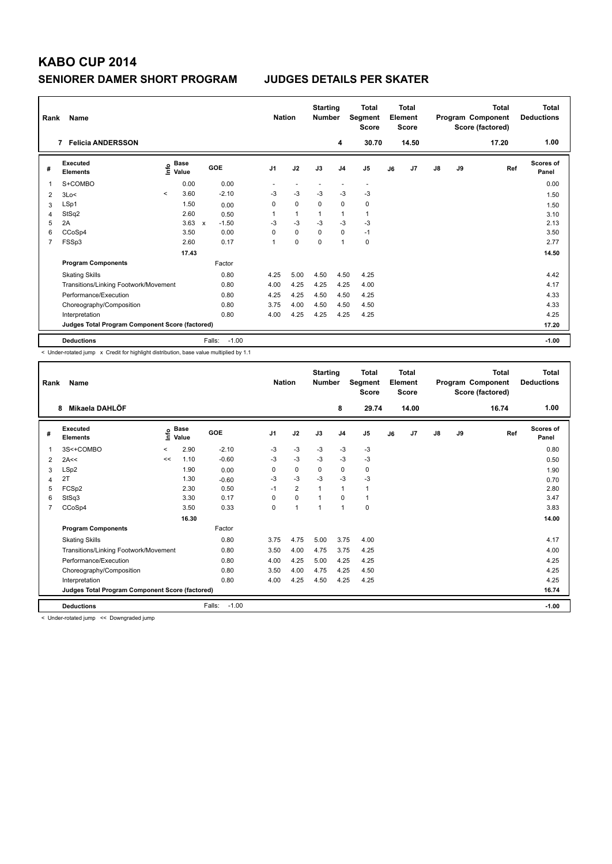| Rank           | <b>Name</b>                                     |         | <b>Starting</b><br><b>Nation</b><br><b>Number</b> |              | <b>Total</b><br>Segment<br><b>Score</b> |                | <b>Total</b><br>Element<br><b>Score</b> |             |                | <b>Total</b><br>Program Component<br>Score (factored) | Total<br><b>Deductions</b> |       |               |    |       |                           |
|----------------|-------------------------------------------------|---------|---------------------------------------------------|--------------|-----------------------------------------|----------------|-----------------------------------------|-------------|----------------|-------------------------------------------------------|----------------------------|-------|---------------|----|-------|---------------------------|
|                | <b>Felicia ANDERSSON</b><br>$\overline{7}$      |         |                                                   |              |                                         |                |                                         |             | 4              | 30.70                                                 |                            | 14.50 |               |    | 17.20 | 1.00                      |
| #              | Executed<br><b>Elements</b>                     |         | <b>Base</b><br>$\frac{6}{5}$ Value                |              | GOE                                     | J <sub>1</sub> | J2                                      | J3          | J <sub>4</sub> | J <sub>5</sub>                                        | J6                         | J7    | $\mathsf{J}8$ | J9 | Ref   | <b>Scores of</b><br>Panel |
| $\mathbf{1}$   | S+COMBO                                         |         | 0.00                                              |              | 0.00                                    |                |                                         |             |                | $\overline{\phantom{a}}$                              |                            |       |               |    |       | 0.00                      |
| 2              | 3Lo<                                            | $\prec$ | 3.60                                              |              | $-2.10$                                 | $-3$           | $-3$                                    | $-3$        | $-3$           | $-3$                                                  |                            |       |               |    |       | 1.50                      |
| 3              | LSp1                                            |         | 1.50                                              |              | 0.00                                    | 0              | $\mathbf 0$                             | 0           | $\mathbf 0$    | 0                                                     |                            |       |               |    |       | 1.50                      |
| $\overline{4}$ | StSq2                                           |         | 2.60                                              |              | 0.50                                    |                | $\mathbf{1}$                            |             | $\mathbf{1}$   | $\mathbf{1}$                                          |                            |       |               |    |       | 3.10                      |
| 5              | 2A                                              |         | 3.63                                              | $\mathsf{x}$ | $-1.50$                                 | $-3$           | $-3$                                    | $-3$        | $-3$           | $-3$                                                  |                            |       |               |    |       | 2.13                      |
| 6              | CCoSp4                                          |         | 3.50                                              |              | 0.00                                    | $\Omega$       | $\mathbf 0$                             | $\Omega$    | $\mathbf 0$    | $-1$                                                  |                            |       |               |    |       | 3.50                      |
| $\overline{7}$ | FSSp3                                           |         | 2.60                                              |              | 0.17                                    | 1              | $\mathbf 0$                             | $\mathbf 0$ | $\mathbf{1}$   | 0                                                     |                            |       |               |    |       | 2.77                      |
|                |                                                 |         | 17.43                                             |              |                                         |                |                                         |             |                |                                                       |                            |       |               |    |       | 14.50                     |
|                | <b>Program Components</b>                       |         |                                                   |              | Factor                                  |                |                                         |             |                |                                                       |                            |       |               |    |       |                           |
|                | <b>Skating Skills</b>                           |         |                                                   |              | 0.80                                    | 4.25           | 5.00                                    | 4.50        | 4.50           | 4.25                                                  |                            |       |               |    |       | 4.42                      |
|                | Transitions/Linking Footwork/Movement           |         |                                                   |              | 0.80                                    | 4.00           | 4.25                                    | 4.25        | 4.25           | 4.00                                                  |                            |       |               |    |       | 4.17                      |
|                | Performance/Execution                           |         |                                                   |              | 0.80                                    | 4.25           | 4.25                                    | 4.50        | 4.50           | 4.25                                                  |                            |       |               |    |       | 4.33                      |
|                | Choreography/Composition                        |         |                                                   |              | 0.80                                    | 3.75           | 4.00                                    | 4.50        | 4.50           | 4.50                                                  |                            |       |               |    |       | 4.33                      |
|                | Interpretation                                  |         |                                                   |              | 0.80                                    | 4.00           | 4.25                                    | 4.25        | 4.25           | 4.25                                                  |                            |       |               |    |       | 4.25                      |
|                | Judges Total Program Component Score (factored) |         |                                                   |              |                                         |                |                                         |             |                |                                                       |                            |       |               |    |       | 17.20                     |
|                | <b>Deductions</b>                               |         |                                                   | Falls:       | $-1.00$                                 |                |                                         |             |                |                                                       |                            |       |               |    |       | $-1.00$                   |

< Under-rotated jump x Credit for highlight distribution, base value multiplied by 1.1

| Rank | Name                                            |         | <b>Starting</b><br><b>Nation</b><br><b>Number</b> |                   | <b>Total</b><br><b>Total</b><br>Element<br>Segment<br><b>Score</b><br><b>Score</b> |                | Program Component<br>Score (factored) |                | <b>Total</b>   | <b>Total</b><br><b>Deductions</b> |       |               |    |       |                           |
|------|-------------------------------------------------|---------|---------------------------------------------------|-------------------|------------------------------------------------------------------------------------|----------------|---------------------------------------|----------------|----------------|-----------------------------------|-------|---------------|----|-------|---------------------------|
|      | Mikaela DAHLÖF<br>8                             |         |                                                   |                   |                                                                                    |                |                                       | 8              | 29.74          |                                   | 14.00 |               |    | 16.74 | 1.00                      |
| #    | Executed<br><b>Elements</b>                     |         | $\sum_{k=1}^{\infty}$ Pase                        | <b>GOE</b>        | J <sub>1</sub>                                                                     | J2             | J3                                    | J <sub>4</sub> | J <sub>5</sub> | J6                                | J7    | $\mathsf{J}8$ | J9 | Ref   | <b>Scores of</b><br>Panel |
| 1    | 3S<+COMBO                                       | $\,<\,$ | 2.90                                              | $-2.10$           | -3                                                                                 | $-3$           | -3                                    | -3             | $-3$           |                                   |       |               |    |       | 0.80                      |
| 2    | 2A<<                                            | <<      | 1.10                                              | $-0.60$           | $-3$                                                                               | $-3$           | $-3$                                  | $-3$           | $-3$           |                                   |       |               |    |       | 0.50                      |
| 3    | LSp2                                            |         | 1.90                                              | 0.00              | 0                                                                                  | 0              | 0                                     | 0              | 0              |                                   |       |               |    |       | 1.90                      |
| 4    | 2T                                              |         | 1.30                                              | $-0.60$           | $-3$                                                                               | $-3$           | $-3$                                  | $-3$           | $-3$           |                                   |       |               |    |       | 0.70                      |
| 5    | FCSp2                                           |         | 2.30                                              | 0.50              | $-1$                                                                               | $\overline{2}$ | $\mathbf{1}$                          | 1              | 1              |                                   |       |               |    |       | 2.80                      |
| 6    | StSq3                                           |         | 3.30                                              | 0.17              | 0                                                                                  | $\mathbf 0$    | $\mathbf{1}$                          | $\mathbf 0$    | 1              |                                   |       |               |    |       | 3.47                      |
| 7    | CCoSp4                                          |         | 3.50                                              | 0.33              | 0                                                                                  | 1              | $\mathbf{1}$                          | $\mathbf{1}$   | $\mathbf 0$    |                                   |       |               |    |       | 3.83                      |
|      |                                                 |         | 16.30                                             |                   |                                                                                    |                |                                       |                |                |                                   |       |               |    |       | 14.00                     |
|      | <b>Program Components</b>                       |         |                                                   | Factor            |                                                                                    |                |                                       |                |                |                                   |       |               |    |       |                           |
|      | <b>Skating Skills</b>                           |         |                                                   | 0.80              | 3.75                                                                               | 4.75           | 5.00                                  | 3.75           | 4.00           |                                   |       |               |    |       | 4.17                      |
|      | Transitions/Linking Footwork/Movement           |         |                                                   | 0.80              | 3.50                                                                               | 4.00           | 4.75                                  | 3.75           | 4.25           |                                   |       |               |    |       | 4.00                      |
|      | Performance/Execution                           |         |                                                   | 0.80              | 4.00                                                                               | 4.25           | 5.00                                  | 4.25           | 4.25           |                                   |       |               |    |       | 4.25                      |
|      | Choreography/Composition                        |         |                                                   | 0.80              | 3.50                                                                               | 4.00           | 4.75                                  | 4.25           | 4.50           |                                   |       |               |    |       | 4.25                      |
|      | Interpretation                                  |         |                                                   | 0.80              | 4.00                                                                               | 4.25           | 4.50                                  | 4.25           | 4.25           |                                   |       |               |    |       | 4.25                      |
|      | Judges Total Program Component Score (factored) |         |                                                   |                   |                                                                                    |                |                                       |                |                |                                   |       |               |    |       | 16.74                     |
|      | <b>Deductions</b>                               |         |                                                   | Falls:<br>$-1.00$ |                                                                                    |                |                                       |                |                |                                   |       |               |    |       | $-1.00$                   |

< Under-rotated jump << Downgraded jump